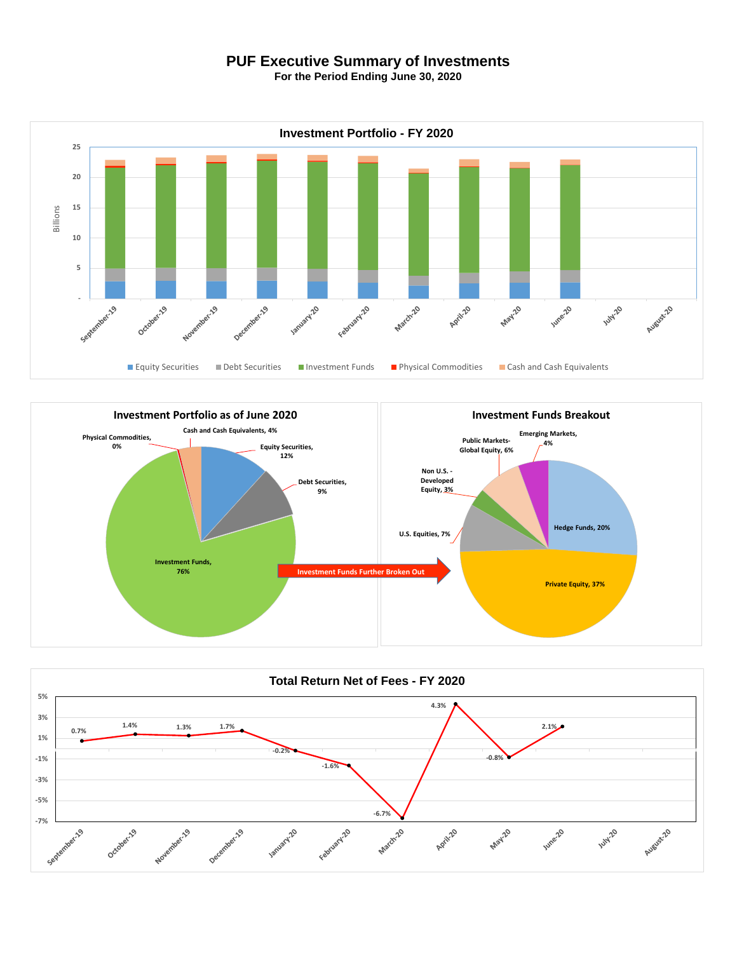## **PUF Executive Summary of Investments**

**For the Period Ending June 30, 2020**